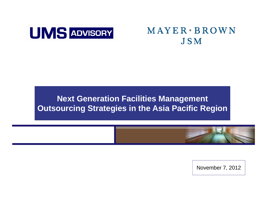

## MAYER · BROWN **JSM**

#### **Next Generation Facilities Management Outsourcing Strategies in the Asia Pacific Region**



November 7, 2012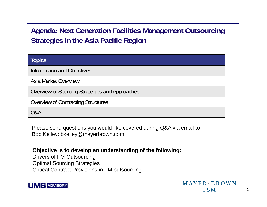#### **Agenda: Next Generation Facilities Management Outsourcing**  Strategies in the Asia Pacific Regior

| <b>Topics</b>                                  |  |
|------------------------------------------------|--|
| Introduction and Objectives                    |  |
| Asia Market Overview                           |  |
| Overview of Sourcing Strategies and Approaches |  |
| Overview of Contracting Structures             |  |
| Q&A                                            |  |

Please send questions you would like covered during Q&A via email to Bob Kelley: bkelley@mayerbrown.com

#### **Objective is to develop an understanding of the following:**

Drivers of FM Outsourcing Optimal Sourcing Strategies Critical Contract Provisions in FM outsourcing

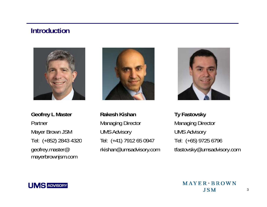#### **Introduction**



**Geofrey L Master <b>Rakesh Kishan** PartnerMayer Brown JSM Tel: (+852) 2843 4320 geofrey.master@ mayerbrownjsm.com



Managing Director UMS Advisory Tel: (+41) 7912 65 0947 ( 852) Tel: (+65) 9725 6796 rkishan@umsadvisory.com



**Ty Fastovsky** Managing Director UMS Advisory Tel: (+65) 9725 6796<br>tfastovsky@umsadvisory.com

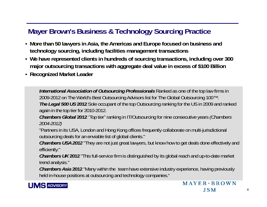### **Mayer Brown's Business & Technology Sourcing Practice**

- **More than 50 lawyers in Asia, the Americas and Europe focused on business and technology sourcing, including facilities management transactions**
- **We have represented clients in hundreds of sourcing transactions, including over 300**  major outsourcing transactions with aggregate deal value in excess of \$100 Billion
- **Recognized Market Leader**

*International Association of Outsourcing Professionals* Ranked as one of the top law firms in 2009-2012 on The World's Best Outsourcing Advisors list for The Global Outsourcing 100™. *The Legal 500 US* **2012** Sole occupant of the top Outsourcing ranking for the US in 2009 and ranked again in the top tier for 2010-2012.

**Chambers Global 2012** "Top tier" ranking in IT/Outsourcing for nine consecutive years *(Chambers 2004-2012)*

"Partners in its USA, London and Hong Kong offices frequently collaborate on multi-jurisdictional outsourcing deals for an enviable list of global clients."

*Chambers USA 2012* "They are not just great lawyers, but know how to get deals done effectively and efficiently."

*Chambers UK* **2012** "This full-service firm is distinguished by its global reach and up-to-date market trend analysis."

*Chambers Asia* 2012 "Many within the team have extensive industry experience, having previously<br>held in-house positions at outsourcing and technology companies."

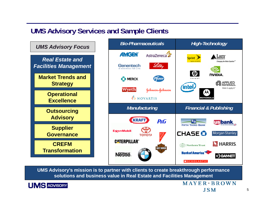#### **UMS Advisory Services and Sample Clients**





UMS Advisory's mission is to partner with clients to create breakthrough performance **solutions and business value in Real Estate and Facilities Management**



 $MAYER * RROWN$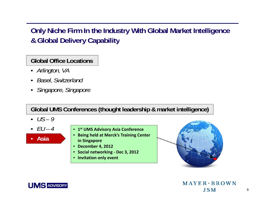### **Only Niche Firm In the Industry With Global Market Intelligence & Gl b l D li C bilit o al elivery Capability**

**Global Office Locations**

- *Arlington, VA*
- •*Basel, Switzerland*
- •*Singapore Singapore Singapore,*

**Global UMS Conferences (thought leadership & market intelligence)**

- *US – 9*
- •*EU – 4*



- **1st UMS Advisory Asia Conference**
- **Being held at Merck's Training Center in Sin g pa pore**
- **December 4, 2012**
- **Social networking ‐ Dec 3, 2012**
- **Invitation only event**





 $MAYER * BROWN$ **JSM**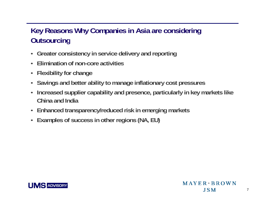### **Key Reasons Why Companies in Asia are considering Ot i u tsourcin g**

- **Greater consistency in service delivery and reporting**
- •**Elimination of non-core activities**
- **Flexibility for change**
- **Savings and better ability to manage inflationary cost pressures**
- • $\cdot$  Increased supplier capability and presence, particularly in key markets like **China and India**
- **Enhanced transparency/reduced risk in emerging markets**
- **Examples of success in other re gions (NA, EU)**



7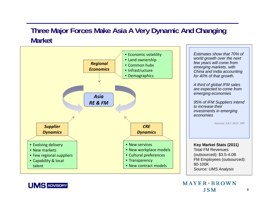#### **Three Major Forces Make Asia A Very Dynamic And Changing Market**



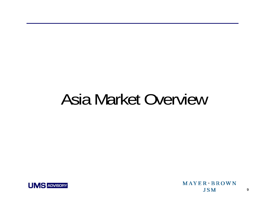## Asia Market Overview



 $MAYER \cdot BROWN$ **JSM**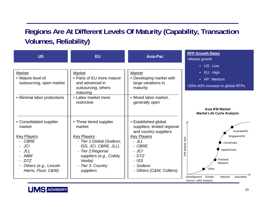### **Regions Are At Different Levels Of Maturity (Capability, Transaction Volumes, Reliability)**

| <b>US</b>                                                                                                                           | <b>EU</b>                                                                                                                                                                                     | <b>Asia-Pac</b>                                                                                                                                                       | <b>RFP Growth Rates</b><br>•Market growth                                                                                                                                       |
|-------------------------------------------------------------------------------------------------------------------------------------|-----------------------------------------------------------------------------------------------------------------------------------------------------------------------------------------------|-----------------------------------------------------------------------------------------------------------------------------------------------------------------------|---------------------------------------------------------------------------------------------------------------------------------------------------------------------------------|
| Market<br>• Mature level of<br>outsourcing, open market<br>• Minimal labor protections                                              | Market<br>• Parts of EU more mature<br>and advanced in<br>outsourcing, others<br>maturing<br>• Labor market more<br>restrictive                                                               | Market<br>• Developing market with<br>large variations in<br>maturity<br>• Mixed labor market,<br>generally open                                                      | • US: Low<br>$\bullet$ EU: High<br>• AP: Medium<br>•20%-40% increase in global RFPs                                                                                             |
| • Consolidated supplier<br>market<br><b>Key Players</b><br><b>CBRE</b><br>- JCI<br>- JLL<br>ABM<br>$- DTZ$<br>Others (e.g., Lincoln | • Three tiered supplier<br>market<br><b>Key Players</b><br>- Tier 1:Global (Sodexo,<br>ISS, JCI, CBRE, JLL)<br>- Tier 2: Regional<br>suppliers (e.g., Cofely,<br>Veolia)<br>- Tier 3: Country | • Established global<br>suppliers, limited regional<br>and country suppliers<br><b>Key Players</b><br>$- JLL$<br>- CBRE<br>- JCI<br>- DTZ<br>- <i>ISS</i><br>- Sodexo | <b>Asia IFM Market</b><br><b>Market Life Cycle Analysis</b><br>Australia/NZ<br>Singapore/HK<br>Size<br>China/India<br><b>IFM Market</b><br>Japan/Korea<br>Thailand/<br>Malaysia |
| Harris, Fluor, C&W)                                                                                                                 | suppliers                                                                                                                                                                                     | - Others (C&W, Colliers)                                                                                                                                              | Other<br>Development Growth<br>Saturation<br>Maturity<br>Source: UMS Analysis                                                                                                   |

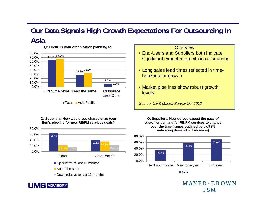#### **Our Data Signals High Growth Expectations For Outsourcing In A i sa**



**Q: Client: Is your organization planning to:** 

Total ■Asia Pacific

#### **Q: Suppliers: How would you characterize your firm's pipeline for new RE/FM services deals?**



#### **SADVISORY**

#### **Overview**

- End-Users and Suppliers both indicate significant expected growth in outsourcing
- Long sales lead times reflected in timehorizons for growth
- Market pipelines show robust growth levels

*Source: UMS Market Survey Oct 2012*

**Q: Suppliers: How do you expect the pace of customer demand for RE/FM services to change over the time frames outlined below? (% indicating demand will increase)**



 $MAYER * RROWN$ **JSM**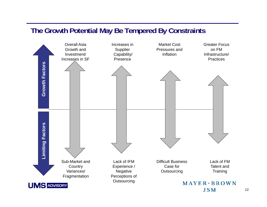#### **The Growth Potential May Be Tempered By Constraints**

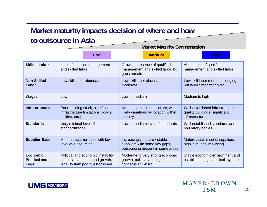#### **Market maturity impacts decision of where and how t t i A i o ou tsource n sia**

|                                            | <b>Market Maturity Segmentation</b>                                                                     |                                                                                                    |                                                                                       |  |  |
|--------------------------------------------|---------------------------------------------------------------------------------------------------------|----------------------------------------------------------------------------------------------------|---------------------------------------------------------------------------------------|--|--|
|                                            | Low                                                                                                     | <b>Medium</b>                                                                                      | <b>High</b>                                                                           |  |  |
| <b>Skilled Labor</b>                       | Lack of qualified management<br>and skilled labor                                                       | Growing presence of qualified<br>management and skilled labor but<br>gaps remain                   | Abundance of qualified<br>management and skilled labor                                |  |  |
| <b>Non-Skilled</b><br>Labor                | Low skill labor abundant                                                                                | Low skill labor abundant to<br>moderate                                                            | Low skill labor more challenging,<br>but labor "imports" cover                        |  |  |
| <b>Wages</b>                               | Low                                                                                                     | Low to medium                                                                                      | Medium to high                                                                        |  |  |
| <b>Infrastructure</b>                      | Poor building stock, significant<br>infrastructure limitations (roads,<br>utilities, etc.)              | Mixed level of infrastructure, with<br>likely variations by location within<br>country             | Well-established infrastructure -<br>quality buildings, significant<br>infrastructure |  |  |
| <b>Standards</b>                           | Very minimal level of<br>standardization                                                                | Low to medium level of standards                                                                   | Well established standards and<br>regulatory bodies                                   |  |  |
| <b>Supplier Base</b>                       | Minimal supplier base with low<br>level of outsourcing                                                  | Increasingly mature / stable<br>suppliers with some key gaps,<br>outsourcing present in some areas | Mature / stable set of suppliers,<br>high level of outsourcing                        |  |  |
| Economic,<br><b>Political and</b><br>Legal | Political and economic instability<br>hinders investment and growth,<br>legal system poorly established | Moderate to very strong economic<br>growth, political and legal<br>concerns still exist            | Stable economic environment and<br>established legal/political system                 |  |  |

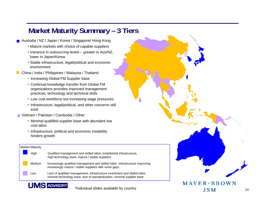#### **Market Maturity Summary – 3 Tiers**

**Australia / NZ / Japan / Korea / Singapore/ Hong Kong** 

- Mature markets with choice of capable suppliers
- Variance in outsourcing levels greater in Aus/NZ, lower in Japan/Korea
- Stable infrastructure, legal/political and economic environment
- **China / India / Philippines / Malaysia / Thailand** 
	- Increasing Global FM Supplier base.
	- Continual knowledge transfer from Global FM organizations provides improved management practices, technology and technical skills
	- Low cost workforce but increasing wage pressures
	- Infrastructure, legal/political, and other concerns still exist
- Vietnam / Pakistan / Cambodia / Other
	- Minimal qualified supplier base with abundant low cost labor.
	- Infrastructure, political and economic instability hinders growth

#### Market Maturity



**VE ADVISORY** 

\*Individual slides available by country

٠

14

 $MAYER * RROWN$ 

**JSM** 

٠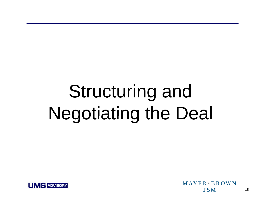# Structuring and Negotiating the Deal



 $MAYER * BROWN$ **JSM**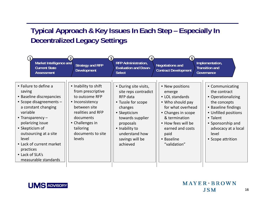### **Typical Approach & Key Issues In Each Step – Especially In Decentralized Legacy Settings**

| Market Intelligence and<br><b>Current State</b><br><b>Assessment</b>                                                                                                                                                                                                                                         | <b>Strategy and RFP</b><br><b>Development</b>                                                                                                                                                   | <b>RFP Administration,</b><br><b>Evaluation and Down-</b><br><b>Select</b>                                                                                                                                     | <b>Negotiations and</b><br><b>Contract Development</b>                                                                                                                                                       | Implementation,<br><b>Transition and</b><br>Governance                                                                                                                                                     |
|--------------------------------------------------------------------------------------------------------------------------------------------------------------------------------------------------------------------------------------------------------------------------------------------------------------|-------------------------------------------------------------------------------------------------------------------------------------------------------------------------------------------------|----------------------------------------------------------------------------------------------------------------------------------------------------------------------------------------------------------------|--------------------------------------------------------------------------------------------------------------------------------------------------------------------------------------------------------------|------------------------------------------------------------------------------------------------------------------------------------------------------------------------------------------------------------|
| • Failure to define a<br>saving<br>• Baseline discrepancies<br>• Scope disagreements -<br>a constant changing<br>variable<br>• Transparency $-$<br>polarizing issue<br>• Skepticism of<br>outsourcing at a site<br>level<br>• Lack of current market<br>practices<br>• Lack of SLA's<br>measurable standards | • Inability to shift<br>from prescriptive<br>to outcome RFP<br>• Inconsistency<br>between site<br>realities and RFP<br>documents<br>• Challenges in<br>tailoring<br>documents to site<br>levels | • During site visits,<br>site reps contradict<br>RFP data<br>• Tussle for scope<br>changes<br>• Skepticism<br>towards supplier<br>proposals<br>• Inability to<br>understand how<br>savings will be<br>achieved | • New positions<br>emerge<br>• LOL standards<br>• Who should pay<br>for what overhead<br>• Changes in scope<br>& termination<br>• How fees will be<br>earned and costs<br>paid<br>• Baseline<br>"validation" | • Communicating<br>the contract<br>• Operationalizing<br>the concepts<br>• Baseline findings<br>• Unfilled positions<br>• Talent<br>• Sponsorship and<br>advocacy at a local<br>level<br>• Scope attrition |

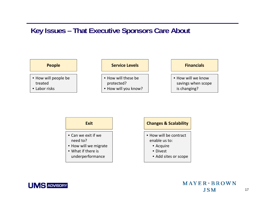#### **Key Issues – That Executive Sponsors Care About**







- How will be contract enable us to:
	- Acquire
	- Divest
	- Add sites or scope



17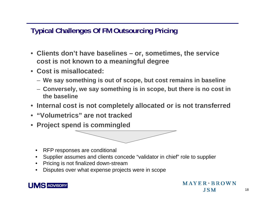**Typical Challenges Of FM Outsourcing Pricing**

- **Clients don't have baselines – or, sometimes, the service cost is not known to a meanin g g ful de gree**
- **Cost is misallocated:**
	- **We say something is out of scope, but cost remains in baseline**
	- $-$  Conversely, we say something is in scope, but there is no cost in **the baseline**
- •**Internal cost is not completely allocated or is not transferred**
- •**"Volumetrics" are not tracked are**
- **Project spend is commingled**



- •RFP responses are conditional
- •Supplier assumes and clients concede "validator in chief" role to supplier
- •Pricing is not finalized down-stream
- Disputes over what expense projects were in scope •

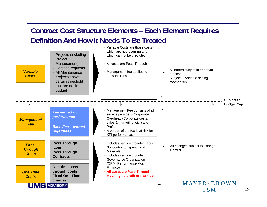#### **Contract Cost Structure Elements – Each Element Requires Definition And How It Needs To Be Treated**

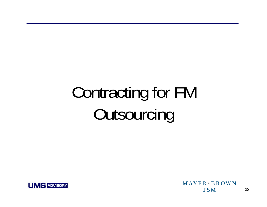# Contracting for FM Outsourcing



MAYER + BROWN **JSM**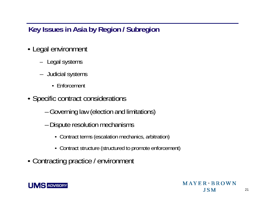## **Key Issues in Asia by Region / Subregion**

- Legal environment
	- Legal systems
	- Judicial systems
		- Enforcement
- Specific contract considerations
	- Governing law (election and limitations)
	- – Dispute resolution mechanisms
		- Contract terms (escalation mechanics, arbitration)
		- Contract structure (structured to promote enforcement)
- Contracting practice / environment

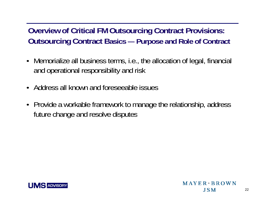**Overview of Critical FM Outsourcing Contract Provisions: Cutsourcing Contract Basics —**  $-$  Purpose and Role of Contract

- Memorialize all business terms, i.e., the allocation of legal, financial and operational responsibility and risk
- Address all known and foreseeable issues
- Provide a workable framework to manage the relationship, address future change and resolve disputes

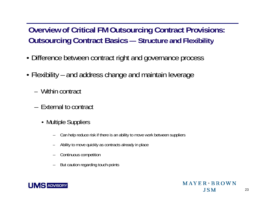**Overview of Critical FM Outsourcing Contract Provisions: Outsourcing Contract Basics - Structure and Flexibility** 

- Difference between contract right and governance process
- Flexibility and address change and maintain leverage
	- Within contract
	- External to contract
		- Multiple Suppliers
			- –Can help reduce risk if there is an ability to move work between suppliers
			- –Ability to move quickl y as contracts alread y in place
			- –Continuous competition
			- But caution regarding touch-points

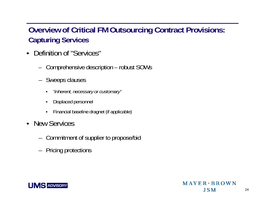## **Overview of Critical FM Outsourcing Contract Provisions: Capt ring Ser ices uring vices**

- • Definition of "Services"
	- Comprehensive description – robust SOWs
	- – Sweeps clauses
		- •*"i h t t " n herent, necessary or customary"*
		- •Displaced personnel
		- •Financial baseline dragnet (if applicable)
- New Services
	- –Commitment of supplier to propose/bid
	- Pricing protections

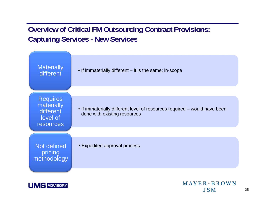#### **Overview of Critical FM Outsourcing Contract Provisions: Capturing Services - New Services**





 $MAYER * BROWN$ **JSM**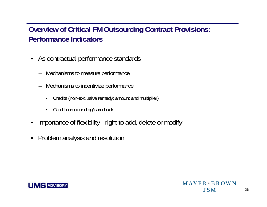#### **Overview of Critical FM Outsourcing Contract Provisions: Performance Indicators**

- As contractual performance standards
	- Mechanisms to measure performance
	- Mechanisms to incentivize performance
		- •Credits (non-exclusive remedy; amount and multiplier)
		- •Credit compounding/earn-back
- •Importance of flexibility - right to add, delete or modify
- •Problem analysis and resolution

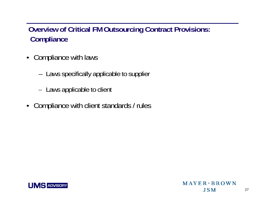#### **Overview of Critical FM Outsourcing Contract Provisions: Compliance**

- Compliance with laws
	- Laws specifically applicable to supplier
	- Laws applicable to client
- •Compliance with client standards / rules

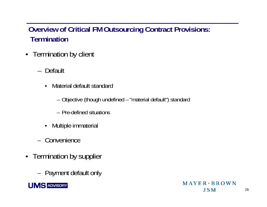#### **Overview of Critical FM Outsourcing Contract Provisions: Termination**

- Termination by client
	- Default
		- • Material default standard
			- Objective (though undefined "material default") standard
			- Pre-defined situations
		- •Multiple immaterial
	- Convenience
- Termination by supplier
	- Pa yment default onl y

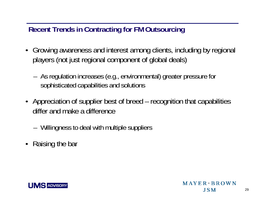### **Recent Trends in Contracting for FM Outsourcing**

- Growing awareness and interest among clients, including by regional players (not just regional component of global deals)
	- As regulation increases (e.g., environmental) greater pressure for sophisticated capabilities and solutions
- Appreciation of supplier best of breed recognition that capabilities differ and make a difference
	- Willingness to deal with multiple suppliers
- Raising the bar

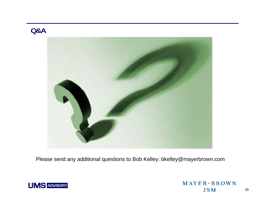#### **Q&A**



Please send any additional questions to Bob Kelley: bkelley@mayerbrown.com



MAYER \* BROWN **JSM**